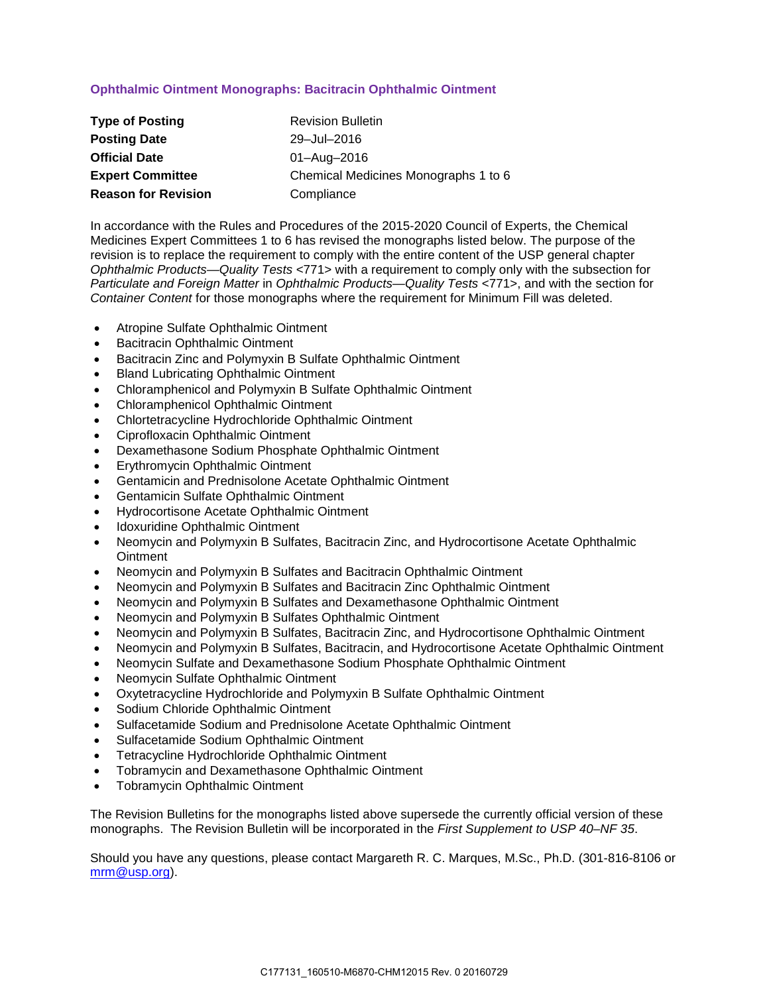# **Ophthalmic Ointment Monographs: Bacitracin Ophthalmic Ointment**

| <b>Type of Posting</b>     | <b>Revision Bulletin</b>             |
|----------------------------|--------------------------------------|
| <b>Posting Date</b>        | 29-Jul-2016                          |
| <b>Official Date</b>       | 01-Aug-2016                          |
| <b>Expert Committee</b>    | Chemical Medicines Monographs 1 to 6 |
| <b>Reason for Revision</b> | Compliance                           |

In accordance with the Rules and Procedures of the 2015-2020 Council of Experts, the Chemical Medicines Expert Committees 1 to 6 has revised the monographs listed below. The purpose of the revision is to replace the requirement to comply with the entire content of the USP general chapter *Ophthalmic Products—Quality Tests* <771> with a requirement to comply only with the subsection for *Particulate and Foreign Matter* in *Ophthalmic Products—Quality Tests* <771>, and with the section for *Container Content* for those monographs where the requirement for Minimum Fill was deleted.

- Atropine Sulfate Ophthalmic Ointment
- Bacitracin Ophthalmic Ointment
- Bacitracin Zinc and Polymyxin B Sulfate Ophthalmic Ointment
- Bland Lubricating Ophthalmic Ointment
- Chloramphenicol and Polymyxin B Sulfate Ophthalmic Ointment
- Chloramphenicol Ophthalmic Ointment
- Chlortetracycline Hydrochloride Ophthalmic Ointment
- Ciprofloxacin Ophthalmic Ointment
- Dexamethasone Sodium Phosphate Ophthalmic Ointment
- Erythromycin Ophthalmic Ointment
- Gentamicin and Prednisolone Acetate Ophthalmic Ointment
- Gentamicin Sulfate Ophthalmic Ointment
- Hydrocortisone Acetate Ophthalmic Ointment
- Idoxuridine Ophthalmic Ointment
- Neomycin and Polymyxin B Sulfates, Bacitracin Zinc, and Hydrocortisone Acetate Ophthalmic **Ointment**
- Neomycin and Polymyxin B Sulfates and Bacitracin Ophthalmic Ointment
- Neomycin and Polymyxin B Sulfates and Bacitracin Zinc Ophthalmic Ointment
- Neomycin and Polymyxin B Sulfates and Dexamethasone Ophthalmic Ointment
- Neomycin and Polymyxin B Sulfates Ophthalmic Ointment
- Neomycin and Polymyxin B Sulfates, Bacitracin Zinc, and Hydrocortisone Ophthalmic Ointment
- Neomycin and Polymyxin B Sulfates, Bacitracin, and Hydrocortisone Acetate Ophthalmic Ointment
- Neomycin Sulfate and Dexamethasone Sodium Phosphate Ophthalmic Ointment
- Neomycin Sulfate Ophthalmic Ointment
- Oxytetracycline Hydrochloride and Polymyxin B Sulfate Ophthalmic Ointment
- Sodium Chloride Ophthalmic Ointment
- Sulfacetamide Sodium and Prednisolone Acetate Ophthalmic Ointment
- Sulfacetamide Sodium Ophthalmic Ointment
- Tetracycline Hydrochloride Ophthalmic Ointment
- Tobramycin and Dexamethasone Ophthalmic Ointment
- Tobramycin Ophthalmic Ointment

The Revision Bulletins for the monographs listed above supersede the currently official version of these monographs. The Revision Bulletin will be incorporated in the *First Supplement to USP 40–NF 35*.

Should you have any questions, please contact Margareth R. C. Marques, M.Sc., Ph.D. (301-816-8106 or [mrm@usp.org\)](mailto:mrm@usp.org).